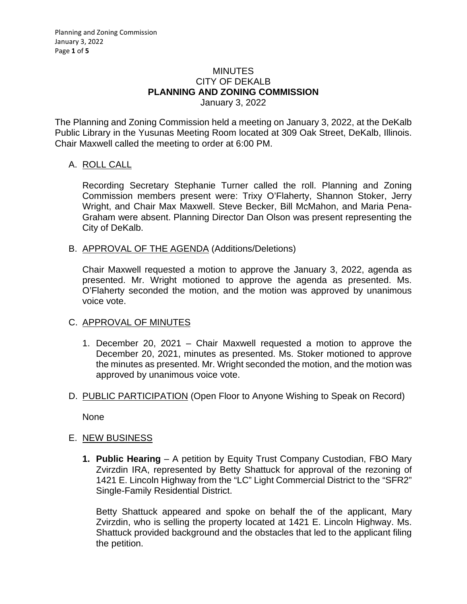#### MINUTES CITY OF DEKALB **PLANNING AND ZONING COMMISSION** January 3, 2022

The Planning and Zoning Commission held a meeting on January 3, 2022, at the DeKalb Public Library in the Yusunas Meeting Room located at 309 Oak Street, DeKalb, Illinois. Chair Maxwell called the meeting to order at 6:00 PM.

## A. ROLL CALL

Recording Secretary Stephanie Turner called the roll. Planning and Zoning Commission members present were: Trixy O'Flaherty, Shannon Stoker, Jerry Wright, and Chair Max Maxwell. Steve Becker, Bill McMahon, and Maria Pena-Graham were absent. Planning Director Dan Olson was present representing the City of DeKalb.

B. APPROVAL OF THE AGENDA (Additions/Deletions)

Chair Maxwell requested a motion to approve the January 3, 2022, agenda as presented. Mr. Wright motioned to approve the agenda as presented. Ms. O'Flaherty seconded the motion, and the motion was approved by unanimous voice vote.

# C. APPROVAL OF MINUTES

- 1. December 20, 2021 Chair Maxwell requested a motion to approve the December 20, 2021, minutes as presented. Ms. Stoker motioned to approve the minutes as presented. Mr. Wright seconded the motion, and the motion was approved by unanimous voice vote.
- D. PUBLIC PARTICIPATION (Open Floor to Anyone Wishing to Speak on Record)

None

### E. NEW BUSINESS

**1. Public Hearing** – A petition by Equity Trust Company Custodian, FBO Mary Zvirzdin IRA, represented by Betty Shattuck for approval of the rezoning of 1421 E. Lincoln Highway from the "LC" Light Commercial District to the "SFR2" Single-Family Residential District.

Betty Shattuck appeared and spoke on behalf the of the applicant, Mary Zvirzdin, who is selling the property located at 1421 E. Lincoln Highway. Ms. Shattuck provided background and the obstacles that led to the applicant filing the petition.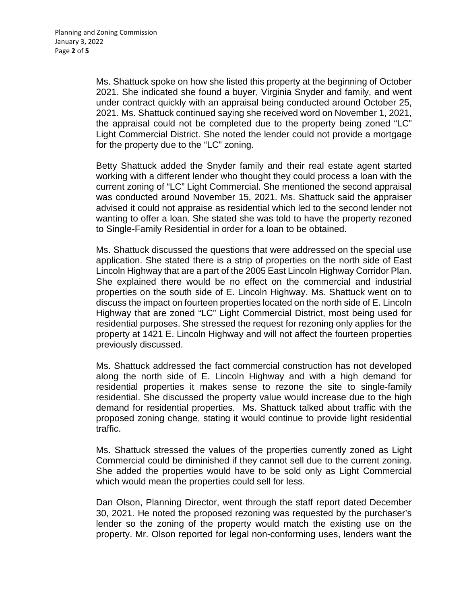Ms. Shattuck spoke on how she listed this property at the beginning of October 2021. She indicated she found a buyer, Virginia Snyder and family, and went under contract quickly with an appraisal being conducted around October 25, 2021. Ms. Shattuck continued saying she received word on November 1, 2021, the appraisal could not be completed due to the property being zoned "LC" Light Commercial District. She noted the lender could not provide a mortgage for the property due to the "LC" zoning.

Betty Shattuck added the Snyder family and their real estate agent started working with a different lender who thought they could process a loan with the current zoning of "LC" Light Commercial. She mentioned the second appraisal was conducted around November 15, 2021. Ms. Shattuck said the appraiser advised it could not appraise as residential which led to the second lender not wanting to offer a loan. She stated she was told to have the property rezoned to Single-Family Residential in order for a loan to be obtained.

Ms. Shattuck discussed the questions that were addressed on the special use application. She stated there is a strip of properties on the north side of East Lincoln Highway that are a part of the 2005 East Lincoln Highway Corridor Plan. She explained there would be no effect on the commercial and industrial properties on the south side of E. Lincoln Highway. Ms. Shattuck went on to discuss the impact on fourteen properties located on the north side of E. Lincoln Highway that are zoned "LC" Light Commercial District, most being used for residential purposes. She stressed the request for rezoning only applies for the property at 1421 E. Lincoln Highway and will not affect the fourteen properties previously discussed.

Ms. Shattuck addressed the fact commercial construction has not developed along the north side of E. Lincoln Highway and with a high demand for residential properties it makes sense to rezone the site to single-family residential. She discussed the property value would increase due to the high demand for residential properties. Ms. Shattuck talked about traffic with the proposed zoning change, stating it would continue to provide light residential traffic.

Ms. Shattuck stressed the values of the properties currently zoned as Light Commercial could be diminished if they cannot sell due to the current zoning. She added the properties would have to be sold only as Light Commercial which would mean the properties could sell for less.

Dan Olson, Planning Director, went through the staff report dated December 30, 2021. He noted the proposed rezoning was requested by the purchaser's lender so the zoning of the property would match the existing use on the property. Mr. Olson reported for legal non-conforming uses, lenders want the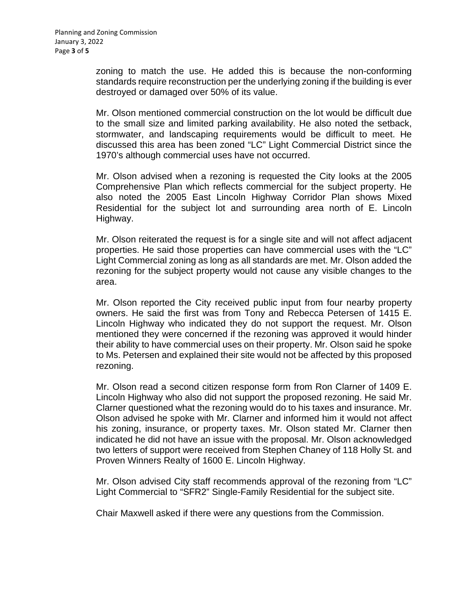zoning to match the use. He added this is because the non-conforming standards require reconstruction per the underlying zoning if the building is ever destroyed or damaged over 50% of its value.

Mr. Olson mentioned commercial construction on the lot would be difficult due to the small size and limited parking availability. He also noted the setback, stormwater, and landscaping requirements would be difficult to meet. He discussed this area has been zoned "LC" Light Commercial District since the 1970's although commercial uses have not occurred.

Mr. Olson advised when a rezoning is requested the City looks at the 2005 Comprehensive Plan which reflects commercial for the subject property. He also noted the 2005 East Lincoln Highway Corridor Plan shows Mixed Residential for the subject lot and surrounding area north of E. Lincoln Highway.

Mr. Olson reiterated the request is for a single site and will not affect adjacent properties. He said those properties can have commercial uses with the "LC" Light Commercial zoning as long as all standards are met. Mr. Olson added the rezoning for the subject property would not cause any visible changes to the area.

Mr. Olson reported the City received public input from four nearby property owners. He said the first was from Tony and Rebecca Petersen of 1415 E. Lincoln Highway who indicated they do not support the request. Mr. Olson mentioned they were concerned if the rezoning was approved it would hinder their ability to have commercial uses on their property. Mr. Olson said he spoke to Ms. Petersen and explained their site would not be affected by this proposed rezoning.

Mr. Olson read a second citizen response form from Ron Clarner of 1409 E. Lincoln Highway who also did not support the proposed rezoning. He said Mr. Clarner questioned what the rezoning would do to his taxes and insurance. Mr. Olson advised he spoke with Mr. Clarner and informed him it would not affect his zoning, insurance, or property taxes. Mr. Olson stated Mr. Clarner then indicated he did not have an issue with the proposal. Mr. Olson acknowledged two letters of support were received from Stephen Chaney of 118 Holly St. and Proven Winners Realty of 1600 E. Lincoln Highway.

Mr. Olson advised City staff recommends approval of the rezoning from "LC" Light Commercial to "SFR2" Single-Family Residential for the subject site.

Chair Maxwell asked if there were any questions from the Commission.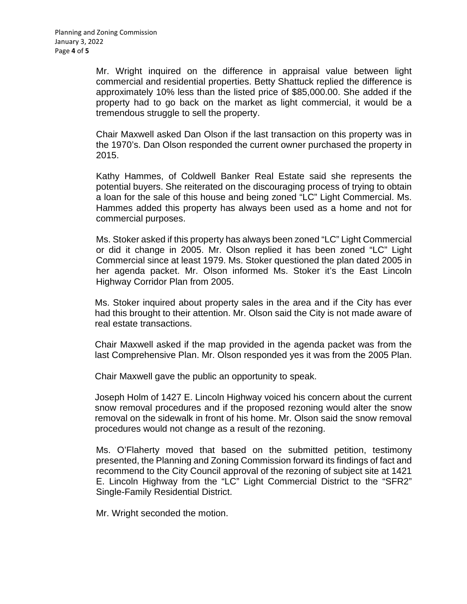Mr. Wright inquired on the difference in appraisal value between light commercial and residential properties. Betty Shattuck replied the difference is approximately 10% less than the listed price of \$85,000.00. She added if the property had to go back on the market as light commercial, it would be a tremendous struggle to sell the property.

Chair Maxwell asked Dan Olson if the last transaction on this property was in the 1970's. Dan Olson responded the current owner purchased the property in 2015.

Kathy Hammes, of Coldwell Banker Real Estate said she represents the potential buyers. She reiterated on the discouraging process of trying to obtain a loan for the sale of this house and being zoned "LC" Light Commercial. Ms. Hammes added this property has always been used as a home and not for commercial purposes.

Ms. Stoker asked if this property has always been zoned "LC" Light Commercial or did it change in 2005. Mr. Olson replied it has been zoned "LC" Light Commercial since at least 1979. Ms. Stoker questioned the plan dated 2005 in her agenda packet. Mr. Olson informed Ms. Stoker it's the East Lincoln Highway Corridor Plan from 2005.

Ms. Stoker inquired about property sales in the area and if the City has ever had this brought to their attention. Mr. Olson said the City is not made aware of real estate transactions.

Chair Maxwell asked if the map provided in the agenda packet was from the last Comprehensive Plan. Mr. Olson responded yes it was from the 2005 Plan.

Chair Maxwell gave the public an opportunity to speak.

Joseph Holm of 1427 E. Lincoln Highway voiced his concern about the current snow removal procedures and if the proposed rezoning would alter the snow removal on the sidewalk in front of his home. Mr. Olson said the snow removal procedures would not change as a result of the rezoning.

Ms. O'Flaherty moved that based on the submitted petition, testimony presented, the Planning and Zoning Commission forward its findings of fact and recommend to the City Council approval of the rezoning of subject site at 1421 E. Lincoln Highway from the "LC" Light Commercial District to the "SFR2" Single-Family Residential District.

Mr. Wright seconded the motion.